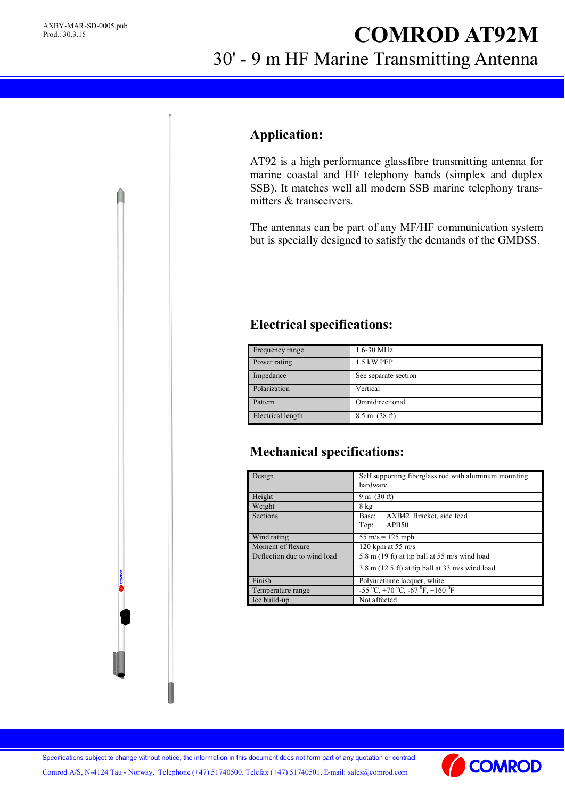# **COMROD AT92M** 30' - 9 m HF Marine Transmitting Antenna

#### **Application:**

AT92 is a high performance glassfibre transmitting antenna for marine coastal and HF telephony bands (simplex and duplex SSB). It matches well all modern SSB marine telephony transmitters & transceivers.

The antennas can be part of any MF/HF communication system but is specially designed to satisfy the demands of the GMDSS.

### **Electrical specifications:**

| Frequency range   | 1.6-30 MHz              |
|-------------------|-------------------------|
| Power rating      | 1.5 kW PEP              |
| Impedance         | See separate section    |
| Polarization      | Vertical                |
| Pattern           | Omnidirectional         |
| Electrical length | $8.5 \text{ m}$ (28 ft) |

## **Mechanical specifications:**

| Design                      | Self supporting fiberglass rod with aluminum mounting<br>hardware. |
|-----------------------------|--------------------------------------------------------------------|
| Height                      | $9 \text{ m}$ (30 ft)                                              |
| Weight                      | $8$ kg                                                             |
| Sections                    | AXB42 Bracket, side feed<br>Base:                                  |
|                             | APB50<br>Top:                                                      |
| Wind rating                 | $55 \text{ m/s} = 125 \text{ mph}$                                 |
| Moment of flexure           | 120 kpm at 55 $m/s$                                                |
| Deflection due to wind load | 5.8 m $(19 \text{ ft})$ at tip ball at 55 m/s wind load            |
|                             | $3.8 \text{ m}$ (12.5 ft) at tip ball at 33 m/s wind load          |
| Finish                      | Polyurethane lacquer, white                                        |
| Temperature range           | $-55\,^0C$ , $+70\,^0C$ , $-67\,^0F$ , $+160\,^0F$                 |
| Ice build-up                | Not affected                                                       |